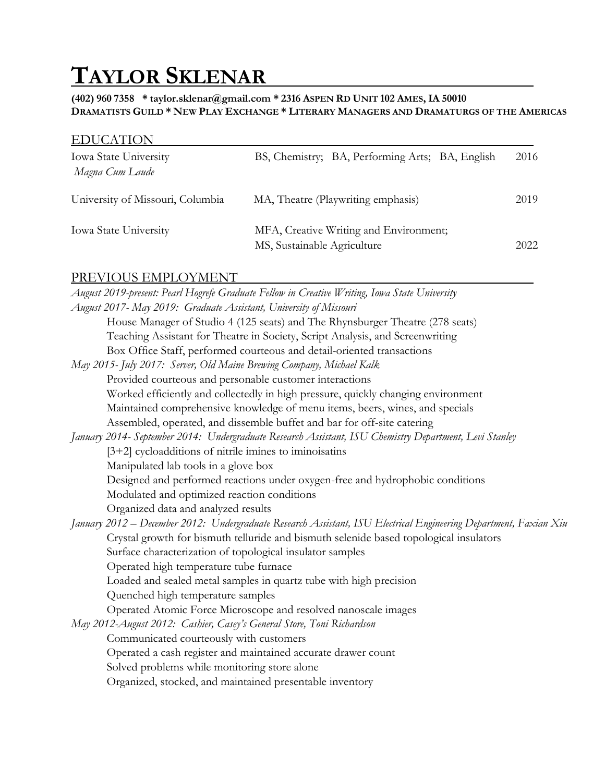# **TAYLOR SKLENAR**

**(402) 960 7358 \* taylor.sklenar@gmail.com \* 2316 ASPEN RD UNIT 102 AMES, IA 50010** DRAMATISTS GUILD \* NEW PLAY EXCHANGE \* LITERARY MANAGERS AND DRAMATURGS OF THE AMERICAS

|  | <b>EDUCATION</b> |  |
|--|------------------|--|
|  |                  |  |

| Iowa State University<br>Magna Cum Laude | BS, Chemistry; BA, Performing Arts; BA, English                       | 2016 |
|------------------------------------------|-----------------------------------------------------------------------|------|
| University of Missouri, Columbia         | MA, Theatre (Playwriting emphasis)                                    | 2019 |
| <b>Iowa State University</b>             | MFA, Creative Writing and Environment;<br>MS, Sustainable Agriculture | 2022 |

#### PREVIOUS EMPLOYMENT

| August 2019-present: Pearl Hogrefe Graduate Fellow in Creative Writing, Iowa State University                     |
|-------------------------------------------------------------------------------------------------------------------|
| August 2017- May 2019: Graduate Assistant, University of Missouri                                                 |
| House Manager of Studio 4 (125 seats) and The Rhynsburger Theatre (278 seats)                                     |
| Teaching Assistant for Theatre in Society, Script Analysis, and Screenwriting                                     |
| Box Office Staff, performed courteous and detail-oriented transactions                                            |
| May 2015- July 2017: Server, Old Maine Brewing Company, Michael Kalk                                              |
| Provided courteous and personable customer interactions                                                           |
| Worked efficiently and collectedly in high pressure, quickly changing environment                                 |
| Maintained comprehensive knowledge of menu items, beers, wines, and specials                                      |
| Assembled, operated, and dissemble buffet and bar for off-site catering                                           |
| January 2014- September 2014: Undergraduate Research Assistant, ISU Chemistry Department, Levi Stanley            |
| $[3+2]$ cycloadditions of nitrile imines to iminoisatins                                                          |
| Manipulated lab tools in a glove box                                                                              |
| Designed and performed reactions under oxygen-free and hydrophobic conditions                                     |
| Modulated and optimized reaction conditions                                                                       |
| Organized data and analyzed results                                                                               |
| January 2012 – December 2012: Undergraduate Research Assistant, ISU Electrical Engineering Department, Faxian Xiu |
| Crystal growth for bismuth telluride and bismuth selenide based topological insulators                            |
| Surface characterization of topological insulator samples                                                         |
| Operated high temperature tube furnace                                                                            |
| Loaded and sealed metal samples in quartz tube with high precision                                                |
| Quenched high temperature samples                                                                                 |
| Operated Atomic Force Microscope and resolved nanoscale images                                                    |
| May 2012-August 2012: Cashier, Casey's General Store, Toni Richardson                                             |
| Communicated courteously with customers                                                                           |
| Operated a cash register and maintained accurate drawer count                                                     |
| Solved problems while monitoring store alone                                                                      |
| Organized, stocked, and maintained presentable inventory                                                          |
|                                                                                                                   |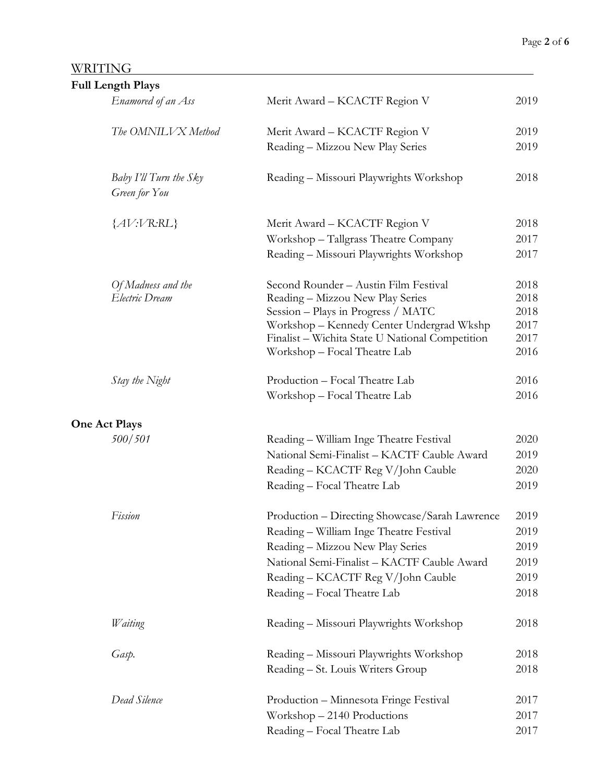#### WRITING

| <b>Full Length Plays</b>                |                                                 |              |
|-----------------------------------------|-------------------------------------------------|--------------|
| Enamored of an Ass                      | Merit Award – KCACTF Region V                   | 2019         |
| The OMNILVX Method                      | Merit Award - KCACTF Region V                   | 2019         |
|                                         | Reading - Mizzou New Play Series                | 2019         |
| Baby I'll Turn the Sky<br>Green for You | Reading - Missouri Playwrights Workshop         | 2018         |
| ${AV:VR:RL}$                            | Merit Award - KCACTF Region V                   | 2018         |
|                                         | Workshop - Tallgrass Theatre Company            | 2017         |
|                                         | Reading - Missouri Playwrights Workshop         | 2017         |
| Of Madness and the                      | Second Rounder - Austin Film Festival           | 2018         |
| Electric Dream                          | Reading - Mizzou New Play Series                | 2018         |
|                                         | Session – Plays in Progress / MATC              | 2018         |
|                                         | Workshop - Kennedy Center Undergrad Wkshp       | 2017         |
|                                         | Finalist - Wichita State U National Competition | 2017<br>2016 |
|                                         | Workshop - Focal Theatre Lab                    |              |
| Stay the Night                          | Production - Focal Theatre Lab                  | 2016         |
|                                         | Workshop - Focal Theatre Lab                    | 2016         |
| <b>One Act Plays</b>                    |                                                 |              |
| 500/501                                 | Reading - William Inge Theatre Festival         | 2020         |
|                                         | National Semi-Finalist - KACTF Cauble Award     | 2019         |
|                                         | Reading - KCACTF Reg V/John Cauble              | 2020         |
|                                         | Reading - Focal Theatre Lab                     | 2019         |
| Fission                                 | Production - Directing Showcase/Sarah Lawrence  | 2019         |
|                                         | Reading - William Inge Theatre Festival         | 2019         |
|                                         | Reading - Mizzou New Play Series                | 2019         |
|                                         | National Semi-Finalist - KACTF Cauble Award     | 2019         |
|                                         | Reading - KCACTF Reg V/John Cauble              | 2019         |
|                                         | Reading - Focal Theatre Lab                     | 2018         |
| Waiting                                 | Reading - Missouri Playwrights Workshop         | 2018         |
| Gasp.                                   | Reading - Missouri Playwrights Workshop         | 2018         |
|                                         | Reading - St. Louis Writers Group               | 2018         |
| Dead Silence                            | Production - Minnesota Fringe Festival          | 2017         |
|                                         | Workshop - 2140 Productions                     | 2017         |
|                                         | Reading - Focal Theatre Lab                     | 2017         |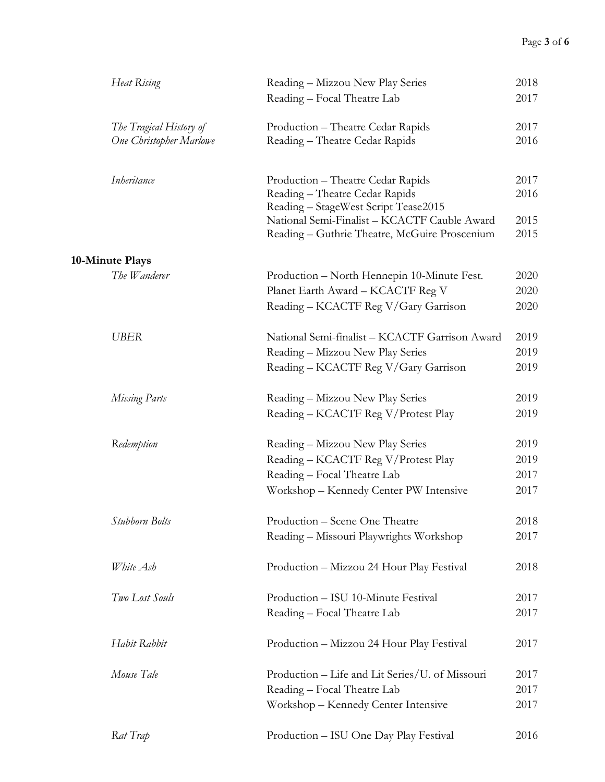| Heat Rising                    | Reading – Mizzou New Play Series                                                              | 2018         |
|--------------------------------|-----------------------------------------------------------------------------------------------|--------------|
|                                | Reading - Focal Theatre Lab                                                                   | 2017         |
| The Tragical History of        | Production - Theatre Cedar Rapids                                                             | 2017         |
| <b>One Christopher Marlowe</b> | Reading - Theatre Cedar Rapids                                                                | 2016         |
| Inheritance                    | Production - Theatre Cedar Rapids                                                             | 2017         |
|                                | Reading - Theatre Cedar Rapids<br>Reading - StageWest Script Tease2015                        | 2016         |
|                                | National Semi-Finalist - KCACTF Cauble Award<br>Reading - Guthrie Theatre, McGuire Proscenium | 2015<br>2015 |
| 10-Minute Plays                |                                                                                               |              |
| The Wanderer                   | Production – North Hennepin 10-Minute Fest.                                                   | 2020         |
|                                | Planet Earth Award - KCACTF Reg V                                                             | 2020         |
|                                | Reading - KCACTF Reg V/Gary Garrison                                                          | 2020         |
| <b>UBER</b>                    | National Semi-finalist - KCACTF Garrison Award                                                | 2019         |
|                                | Reading - Mizzou New Play Series                                                              | 2019         |
|                                | Reading - KCACTF Reg V/Gary Garrison                                                          | 2019         |
| Missing Parts                  | Reading – Mizzou New Play Series                                                              | 2019         |
|                                | Reading - KCACTF Reg V/Protest Play                                                           | 2019         |
| Redemption                     | Reading – Mizzou New Play Series                                                              | 2019         |
|                                | Reading - KCACTF Reg V/Protest Play                                                           | 2019         |
|                                | Reading - Focal Theatre Lab                                                                   | 2017         |
|                                | Workshop - Kennedy Center PW Intensive                                                        | 2017         |
| Stubborn Bolts                 | Production - Scene One Theatre                                                                | 2018         |
|                                | Reading - Missouri Playwrights Workshop                                                       | 2017         |
| White Ash                      | Production - Mizzou 24 Hour Play Festival                                                     | 2018         |
| Two Lost Souls                 | Production - ISU 10-Minute Festival                                                           | 2017         |
|                                | Reading - Focal Theatre Lab                                                                   | 2017         |
| Habit Rabbit                   | Production - Mizzou 24 Hour Play Festival                                                     | 2017         |
| Mouse Tale                     | Production - Life and Lit Series/U. of Missouri                                               | 2017         |
|                                | Reading - Focal Theatre Lab                                                                   | 2017         |
|                                | Workshop - Kennedy Center Intensive                                                           | 2017         |
| Rat Trap                       | Production - ISU One Day Play Festival                                                        | 2016         |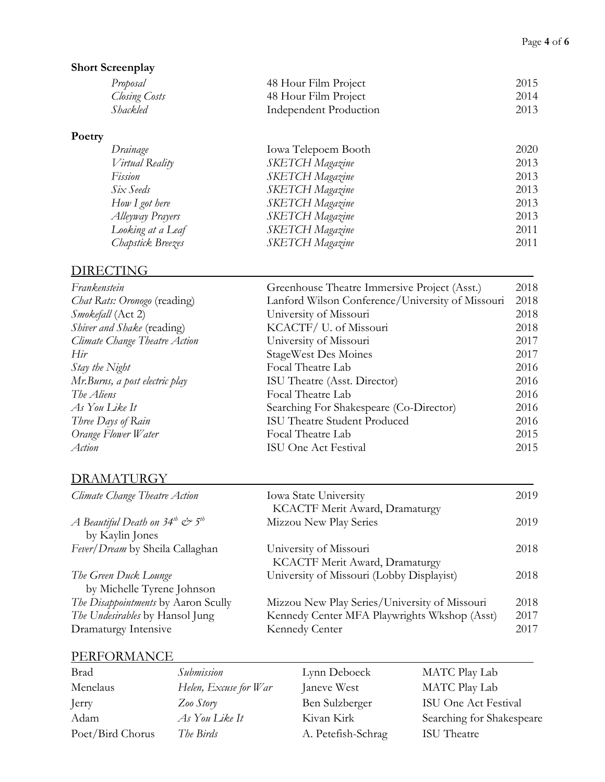#### **Short Screenplay**

| Proposal      | 48 Hour Film Project   | 2015 |
|---------------|------------------------|------|
| Closing Costs | 48 Hour Film Project   | 2014 |
| Shackled      | Independent Production | 2013 |

#### **Poetry**

| Drainage          | Iowa Telepoem Booth    | 2020 |
|-------------------|------------------------|------|
| Virtual Reality   | <b>SKETCH Magazine</b> | 2013 |
| Fission           | <b>SKETCH</b> Magazine | 2013 |
| Six Seeds         | SKETCH Magazine        | 2013 |
| How I got here    | <b>SKETCH</b> Magazine | 2013 |
| Alleyway Prayers  | <b>SKETCH</b> Magazine | 2013 |
| Looking at a Leaf | <b>SKETCH Magazine</b> | 2011 |
| Chapstick Breezes | <b>SKETCH</b> Magazine | 2011 |
|                   |                        |      |

#### DIRECTING

| Frankenstein                        | Greenhouse Theatre Immersive Project (Asst.)     | 2018 |
|-------------------------------------|--------------------------------------------------|------|
| <i>Chat Rats: Oronogo</i> (reading) | Lanford Wilson Conference/University of Missouri | 2018 |
| Smokefall (Act 2)                   | University of Missouri                           | 2018 |
| <i>Shiver and Shake</i> (reading)   | KCACTF/ U. of Missouri                           | 2018 |
| Climate Change Theatre Action       | University of Missouri                           | 2017 |
| Hir                                 | <b>StageWest Des Moines</b>                      | 2017 |
| Stay the Night                      | Focal Theatre Lab                                | 2016 |
| Mr.Burns, a post electric play      | ISU Theatre (Asst. Director)                     | 2016 |
| The Aliens                          | Focal Theatre Lab                                | 2016 |
| As You Like It                      | Searching For Shakespeare (Co-Director)          | 2016 |
| Three Days of Rain                  | <b>ISU Theatre Student Produced</b>              | 2016 |
| Orange Flower Water                 | Focal Theatre Lab                                | 2015 |
| Action                              | ISU One Act Festival                             | 2015 |
|                                     |                                                  |      |

## DRAMATURGY

| Climate Change Theatre Action                    | <b>Iowa State University</b><br>KCACTF Merit Award, Dramaturgy | 2019 |
|--------------------------------------------------|----------------------------------------------------------------|------|
| A Beautiful Death on $34^{th}$ $c^{th}$ $5^{th}$ | Mizzou New Play Series                                         | 2019 |
| by Kaylin Jones                                  |                                                                |      |
| Fever/Dream by Sheila Callaghan                  | University of Missouri                                         | 2018 |
|                                                  | KCACTF Merit Award, Dramaturgy                                 |      |
| The Green Duck Lounge                            | University of Missouri (Lobby Displayist)                      | 2018 |
| by Michelle Tyrene Johnson                       |                                                                |      |
| The Disappointments by Aaron Scully              | Mizzou New Play Series/University of Missouri                  | 2018 |
| The Undesirables by Hansol Jung                  | Kennedy Center MFA Playwrights Wkshop (Asst)                   | 2017 |
| Dramaturgy Intensive                             | Kennedy Center                                                 | 2017 |

#### PERFORMANCE **PERFORMANCE**

| <b>Brad</b>      | Submission            | Lynn Deboeck       | <b>MATC Play Lab</b>      |
|------------------|-----------------------|--------------------|---------------------------|
| Menelaus         | Helen, Excuse for War | Janeve West        | <b>MATC Play Lab</b>      |
| Jerry            | Zoo Story             | Ben Sulzberger     | ISU One Act Festival      |
| Adam             | As You Like It        | Kivan Kirk         | Searching for Shakespeare |
| Poet/Bird Chorus | The Birds             | A. Petefish-Schrag | ISU Theatre               |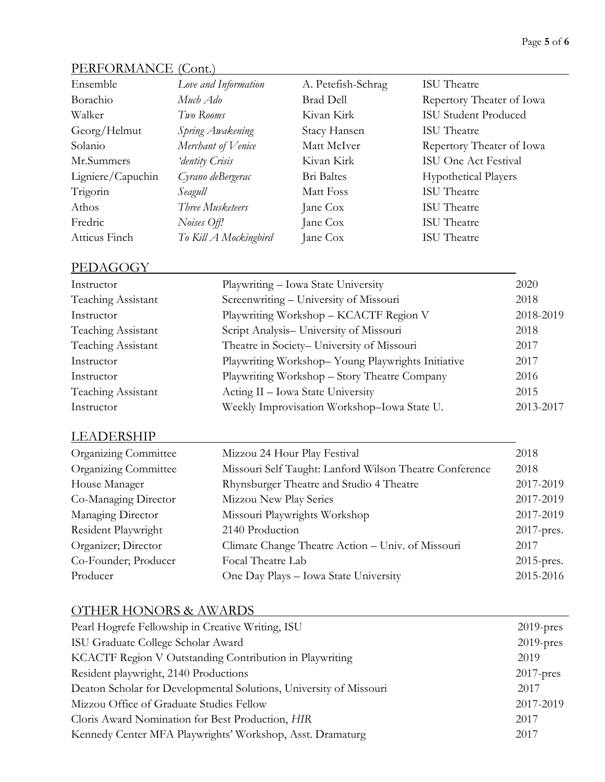### PERFORMANCE (Cont.)

| Ensemble          | Love and Information  | A. Petefish-Schrag | <b>ISU</b> Theatre          |
|-------------------|-----------------------|--------------------|-----------------------------|
| Borachio          | Much Ado              | <b>Brad Dell</b>   | Repertory Theater of Iowa   |
| Walker            | Two Rooms             | Kivan Kirk         | <b>ISU Student Produced</b> |
| Georg/Helmut      | Spring Awakening      | Stacy Hansen       | <b>ISU</b> Theatre          |
| Solanio           | Merchant of Venice    | Matt McIver        | Repertory Theater of Iowa   |
| Mr.Summers        | 'dentity Crisis       | Kivan Kirk         | ISU One Act Festival        |
| Ligniere/Capuchin | Cyrano deBergerac     | Bri Baltes         | <b>Hypothetical Players</b> |
| Trigorin          | Seagull               | Matt Foss          | ISU Theatre                 |
| Athos             | Three Musketeers      | Jane Cox           | <b>ISU</b> Theatre          |
| Fredric           | Noises Off!           | Jane Cox           | <b>ISU</b> Theatre          |
| Atticus Finch     | To Kill A Mockingbird | Jane Cox           | <b>ISU</b> Theatre          |

#### PEDAGOGY **Example 2008**

| Instructor         | Playwriting - Iowa State University               | 2020      |
|--------------------|---------------------------------------------------|-----------|
| Teaching Assistant | Screenwriting - University of Missouri            | 2018      |
| Instructor         | Playwriting Workshop - KCACTF Region V            | 2018-2019 |
| Teaching Assistant | Script Analysis- University of Missouri           | 2018      |
| Teaching Assistant | Theatre in Society- University of Missouri        | 2017      |
| Instructor         | Playwriting Workshop-Young Playwrights Initiative | 2017      |
| Instructor         | Playwriting Workshop - Story Theatre Company      | 2016      |
| Teaching Assistant | Acting II - Iowa State University                 | 2015      |
| Instructor         | Weekly Improvisation Workshop-Iowa State U.       | 2013-2017 |

## LEADERSHIP

| <b>Organizing Committee</b> | Mizzou 24 Hour Play Festival                            | 2018          |
|-----------------------------|---------------------------------------------------------|---------------|
| <b>Organizing Committee</b> | Missouri Self Taught: Lanford Wilson Theatre Conference | 2018          |
| House Manager               | Rhynsburger Theatre and Studio 4 Theatre                | 2017-2019     |
| Co-Managing Director        | Mizzou New Play Series                                  | 2017-2019     |
| Managing Director           | Missouri Playwrights Workshop                           | 2017-2019     |
| Resident Playwright         | 2140 Production                                         | 2017-pres.    |
| Organizer; Director         | Climate Change Theatre Action - Univ. of Missouri       | 2017          |
| Co-Founder; Producer        | Focal Theatre Lab                                       | $2015$ -pres. |
| Producer                    | One Day Plays - Iowa State University                   | 2015-2016     |

#### OTHER HONORS & AWARDS

| Pearl Hogrefe Fellowship in Creative Writing, ISU                  | $2019$ -pres |
|--------------------------------------------------------------------|--------------|
| ISU Graduate College Scholar Award                                 | $2019$ -pres |
| KCACTF Region V Outstanding Contribution in Playwriting            | 2019         |
| Resident playwright, 2140 Productions                              | $2017$ -pres |
| Deaton Scholar for Developmental Solutions, University of Missouri | 2017         |
| Mizzou Office of Graduate Studies Fellow                           | 2017-2019    |
| Cloris Award Nomination for Best Production, HIR                   | 2017         |
| Kennedy Center MFA Playwrights' Workshop, Asst. Dramaturg          | 2017         |